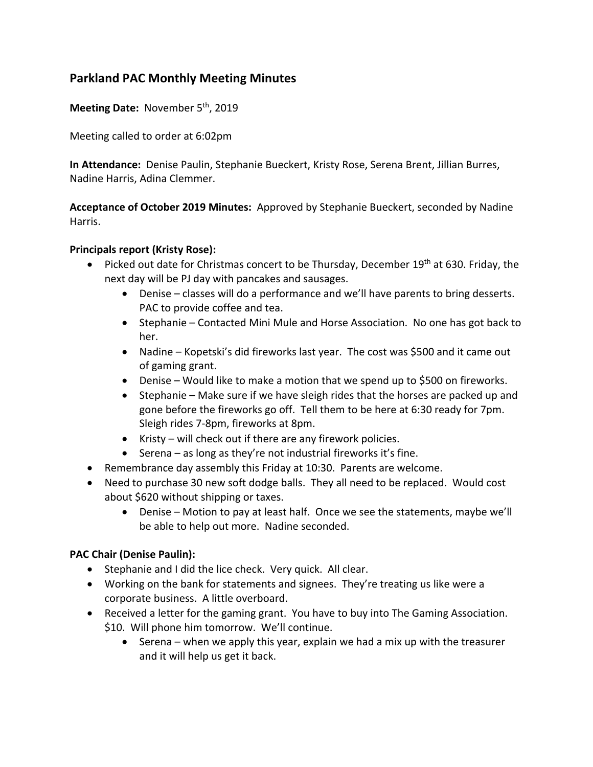# **Parkland PAC Monthly Meeting Minutes**

Meeting Date: November 5<sup>th</sup>, 2019

Meeting called to order at 6:02pm

**In Attendance:** Denise Paulin, Stephanie Bueckert, Kristy Rose, Serena Brent, Jillian Burres, Nadine Harris, Adina Clemmer.

**Acceptance of October 2019 Minutes:** Approved by Stephanie Bueckert, seconded by Nadine Harris.

#### **Principals report (Kristy Rose):**

- Picked out date for Christmas concert to be Thursday, December 19<sup>th</sup> at 630. Friday, the next day will be PJ day with pancakes and sausages.
	- Denise classes will do a performance and we'll have parents to bring desserts. PAC to provide coffee and tea.
	- Stephanie Contacted Mini Mule and Horse Association. No one has got back to her.
	- Nadine Kopetski's did fireworks last year. The cost was \$500 and it came out of gaming grant.
	- Denise Would like to make a motion that we spend up to \$500 on fireworks.
	- Stephanie Make sure if we have sleigh rides that the horses are packed up and gone before the fireworks go off. Tell them to be here at 6:30 ready for 7pm. Sleigh rides 7-8pm, fireworks at 8pm.
	- Kristy will check out if there are any firework policies.
	- Serena as long as they're not industrial fireworks it's fine.
- Remembrance day assembly this Friday at 10:30. Parents are welcome.
- Need to purchase 30 new soft dodge balls. They all need to be replaced. Would cost about \$620 without shipping or taxes.
	- Denise Motion to pay at least half. Once we see the statements, maybe we'll be able to help out more. Nadine seconded.

### **PAC Chair (Denise Paulin):**

- Stephanie and I did the lice check. Very quick. All clear.
- Working on the bank for statements and signees. They're treating us like were a corporate business. A little overboard.
- Received a letter for the gaming grant. You have to buy into The Gaming Association. \$10. Will phone him tomorrow. We'll continue.
	- Serena when we apply this year, explain we had a mix up with the treasurer and it will help us get it back.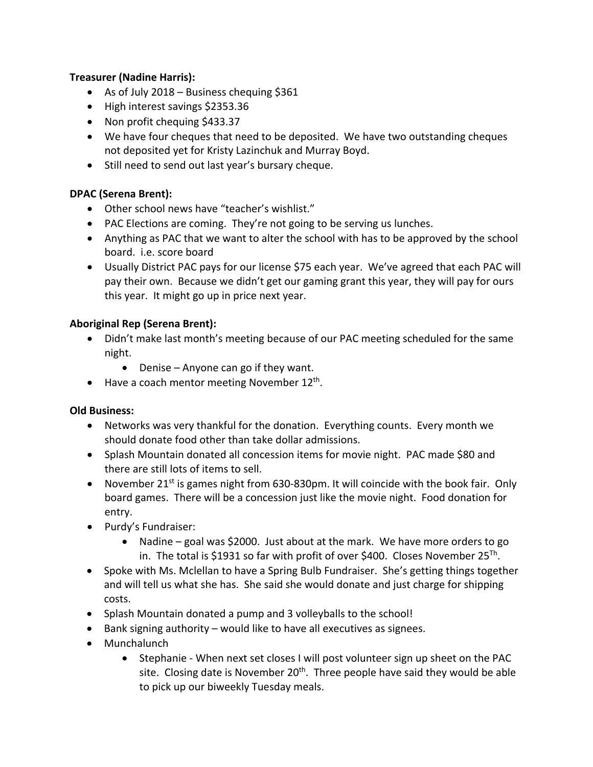## **Treasurer (Nadine Harris):**

- As of July 2018 Business chequing \$361
- High interest savings \$2353.36
- Non profit chequing \$433.37
- We have four cheques that need to be deposited. We have two outstanding cheques not deposited yet for Kristy Lazinchuk and Murray Boyd.
- Still need to send out last year's bursary cheque.

### **DPAC (Serena Brent):**

- Other school news have "teacher's wishlist."
- PAC Elections are coming. They're not going to be serving us lunches.
- Anything as PAC that we want to alter the school with has to be approved by the school board. i.e. score board
- Usually District PAC pays for our license \$75 each year. We've agreed that each PAC will pay their own. Because we didn't get our gaming grant this year, they will pay for ours this year. It might go up in price next year.

# **Aboriginal Rep (Serena Brent):**

- Didn't make last month's meeting because of our PAC meeting scheduled for the same night.
	- Denise Anyone can go if they want.
- Have a coach mentor meeting November  $12^{th}$ .

### **Old Business:**

- Networks was very thankful for the donation. Everything counts. Every month we should donate food other than take dollar admissions.
- Splash Mountain donated all concession items for movie night. PAC made \$80 and there are still lots of items to sell.
- November 21<sup>st</sup> is games night from 630-830pm. It will coincide with the book fair. Only board games. There will be a concession just like the movie night. Food donation for entry.
- Purdy's Fundraiser:
	- Nadine goal was \$2000. Just about at the mark. We have more orders to go in. The total is \$1931 so far with profit of over \$400. Closes November  $25^{Th}$ .
- Spoke with Ms. Mclellan to have a Spring Bulb Fundraiser. She's getting things together and will tell us what she has. She said she would donate and just charge for shipping costs.
- Splash Mountain donated a pump and 3 volleyballs to the school!
- Bank signing authority would like to have all executives as signees.
- Munchalunch
	- Stephanie When next set closes I will post volunteer sign up sheet on the PAC site. Closing date is November  $20<sup>th</sup>$ . Three people have said they would be able to pick up our biweekly Tuesday meals.